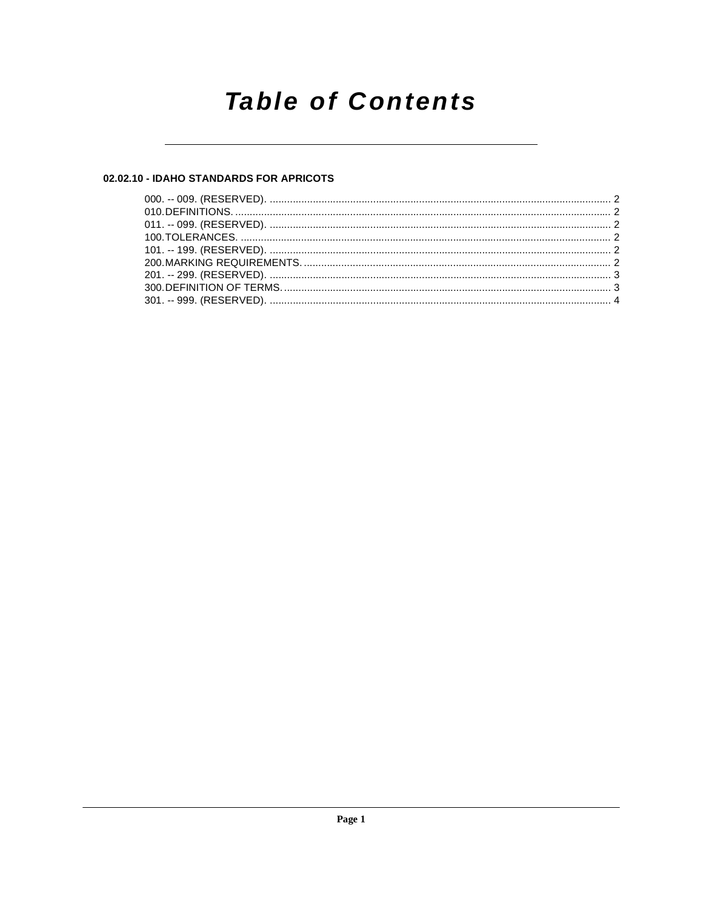## **Table of Contents**

#### 02.02.10 - IDAHO STANDARDS FOR APRICOTS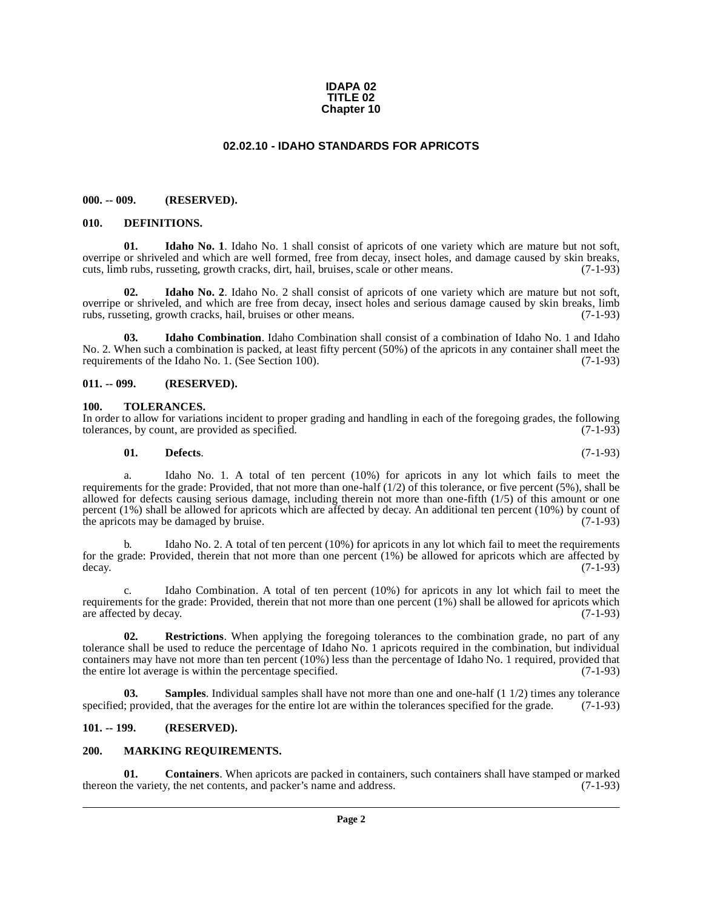#### **IDAPA 02 TITLE 02 Chapter 10**

#### **02.02.10 - IDAHO STANDARDS FOR APRICOTS**

#### <span id="page-1-1"></span><span id="page-1-0"></span>**000. -- 009. (RESERVED).**

#### <span id="page-1-9"></span><span id="page-1-2"></span>**010. DEFINITIONS.**

<span id="page-1-11"></span>**01. Idaho No. 1**. Idaho No. 1 shall consist of apricots of one variety which are mature but not soft, overripe or shriveled and which are well formed, free from decay, insect holes, and damage caused by skin breaks, cuts, limb rubs, russeting, growth cracks, dirt, hail, bruises, scale or other means. (7-1-93)

<span id="page-1-12"></span>**02.** Idaho No. 2. Idaho No. 2 shall consist of apricots of one variety which are mature but not soft, overripe or shriveled, and which are free from decay, insect holes and serious damage caused by skin breaks, limb rubs, russeting, growth cracks, hail, bruises or other means. (7-1-93) rubs, russeting, growth cracks, hail, bruises or other means.

<span id="page-1-10"></span>**03. Idaho Combination**. Idaho Combination shall consist of a combination of Idaho No. 1 and Idaho No. 2. When such a combination is packed, at least fifty percent (50%) of the apricots in any container shall meet the requirements of the Idaho No. 1. (See Section 100). (7-1-93) requirements of the Idaho No. 1. (See Section 100).

#### <span id="page-1-3"></span>**011. -- 099. (RESERVED).**

#### <span id="page-1-16"></span><span id="page-1-4"></span>**100. TOLERANCES.**

In order to allow for variations incident to proper grading and handling in each of the foregoing grades, the following tolerances, by count, are provided as specified. (7-1-93) tolerances, by count, are provided as specified.

<span id="page-1-8"></span>
$$
01. \qquad \textbf{Defects.} \tag{7-1-93}
$$

a. Idaho No. 1. A total of ten percent (10%) for apricots in any lot which fails to meet the requirements for the grade: Provided, that not more than one-half  $(1/2)$  of this tolerance, or five percent (5%), shall be allowed for defects causing serious damage, including therein not more than one-fifth (1/5) of this amount or one percent (1%) shall be allowed for apricots which are affected by decay. An additional ten percent (10%) by count of the apricots may be damaged by bruise.  $(7-1-93)$ 

b. Idaho No. 2. A total of ten percent (10%) for apricots in any lot which fail to meet the requirements for the grade: Provided, therein that not more than one percent  $(1%)$  be allowed for apricots which are affected by decay.  $(7-1-93)$ decay.  $(7-1-93)$ 

c. Idaho Combination. A total of ten percent (10%) for apricots in any lot which fail to meet the requirements for the grade: Provided, therein that not more than one percent  $(1%)$  shall be allowed for apricots which are affected by decay.  $(7-1-93)$ are affected by decay.

<span id="page-1-14"></span>**02. Restrictions**. When applying the foregoing tolerances to the combination grade, no part of any tolerance shall be used to reduce the percentage of Idaho No. 1 apricots required in the combination, but individual containers may have not more than ten percent (10%) less than the percentage of Idaho No. 1 required, provided that the entire lot average is within the percentage specified. (7-1-93)

<span id="page-1-15"></span>**03. Samples**. Individual samples shall have not more than one and one-half (1 1/2) times any tolerance is provided, that the averages for the entire lot are within the tolerances specified for the grade. (7-1-93) specified; provided, that the averages for the entire lot are within the tolerances specified for the grade.

#### <span id="page-1-5"></span>**101. -- 199. (RESERVED).**

#### <span id="page-1-13"></span><span id="page-1-6"></span>**200. MARKING REQUIREMENTS.**

<span id="page-1-7"></span>**01. Containers**. When apricots are packed in containers, such containers shall have stamped or marked thereon the variety, the net contents, and packer's name and address. (7-1-93)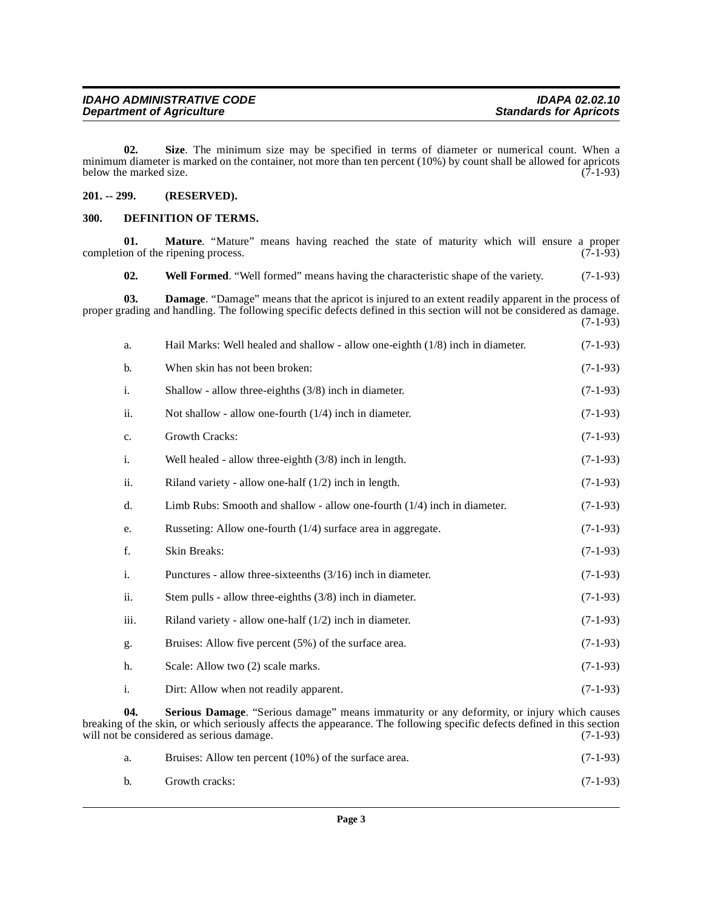<span id="page-2-6"></span>**02. Size**. The minimum size may be specified in terms of diameter or numerical count. When a minimum diameter is marked on the container, not more than ten percent (10%) by count shall be allowed for apricots below the marked size.  $(7-1-93)$ below the marked size.

#### <span id="page-2-0"></span>**201. -- 299. (RESERVED).**

#### <span id="page-2-3"></span><span id="page-2-1"></span>**300. DEFINITION OF TERMS.**

<span id="page-2-7"></span><span id="page-2-4"></span><span id="page-2-2"></span>**01. Mature**. "Mature" means having reached the state of maturity which will ensure a proper on of the ripening process. (7-1-93) completion of the ripening process. **02.** Well Formed. "Well formed" means having the characteristic shape of the variety. (7-1-93) **03. Damage**. "Damage" means that the apricot is injured to an extent readily apparent in the process of proper grading and handling. The following specific defects defined in this section will not be considered as damage.  $(7-1-93)$ a. Hail Marks: Well healed and shallow - allow one-eighth (1/8) inch in diameter. (7-1-93) b. When skin has not been broken: (7-1-93) i. Shallow - allow three-eighths (3/8) inch in diameter. (7-1-93) ii. Not shallow - allow one-fourth  $(1/4)$  inch in diameter. (7-1-93) c. Growth Cracks: (7-1-93) i. Well healed - allow three-eighth (3/8) inch in length. (7-1-93) ii. Riland variety - allow one-half  $(1/2)$  inch in length. (7-1-93) d. Limb Rubs: Smooth and shallow - allow one-fourth (1/4) inch in diameter. (7-1-93) e. Russeting: Allow one-fourth (1/4) surface area in aggregate. (7-1-93) f. Skin Breaks: (7-1-93) i. Punctures - allow three-sixteenths (3/16) inch in diameter. (7-1-93) ii. Stem pulls - allow three-eighths (3/8) inch in diameter. (7-1-93) iii. Riland variety - allow one-half  $(1/2)$  inch in diameter. (7-1-93) g. Bruises: Allow five percent (5%) of the surface area. (7-1-93) h. Scale: Allow two (2) scale marks. (7-1-93) i. Dirt: Allow when not readily apparent. (7-1-93) **04. Serious Damage**. "Serious damage" means immaturity or any deformity, or injury which causes breaking of the skin, or which seriously affects the appearance. The following specific defects defined in this section will not be considered as serious damage. (7-1-93)

<span id="page-2-5"></span>

|  | Bruises: Allow ten percent (10%) of the surface area. | $(7-1-93)$ |
|--|-------------------------------------------------------|------------|
|  | Growth cracks:                                        | $(7-1-93)$ |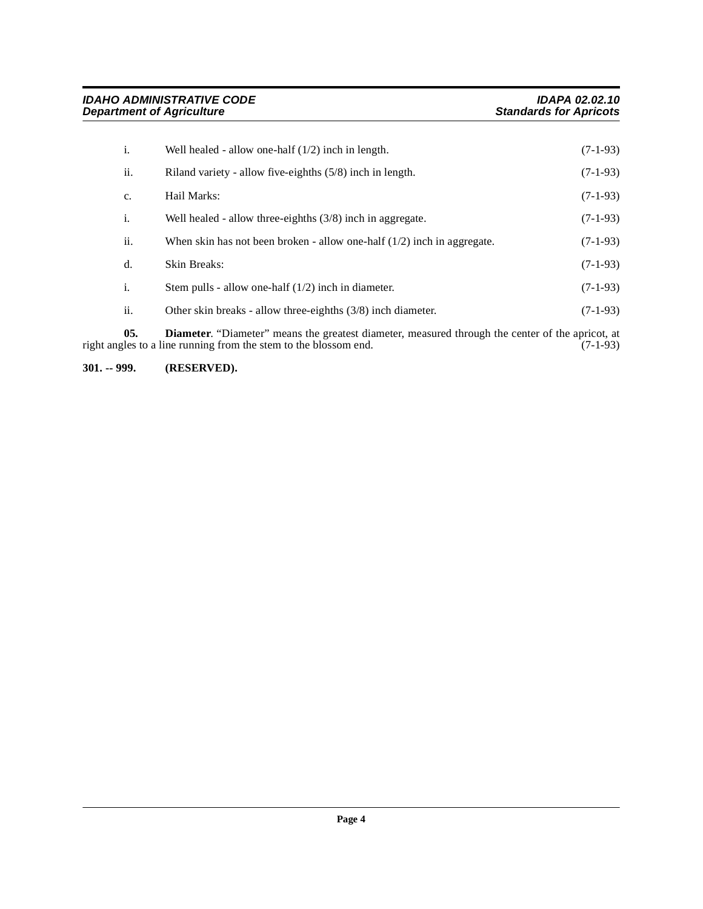| i.  | Well healed - allow one-half $(1/2)$ inch in length.                      | $(7-1-93)$ |
|-----|---------------------------------------------------------------------------|------------|
| ii. | Riland variety - allow five-eighths $(5/8)$ inch in length.               | $(7-1-93)$ |
| c.  | Hail Marks:                                                               | $(7-1-93)$ |
| i.  | Well healed - allow three-eighths $(3/8)$ inch in aggregate.              | $(7-1-93)$ |
| ii. | When skin has not been broken - allow one-half $(1/2)$ inch in aggregate. | $(7-1-93)$ |
| d.  | <b>Skin Breaks:</b>                                                       | $(7-1-93)$ |
| i.  | Stem pulls - allow one-half $(1/2)$ inch in diameter.                     | $(7-1-93)$ |
| ii. | Other skin breaks - allow three-eighths $(3/8)$ inch diameter.            | $(7-1-93)$ |

<span id="page-3-1"></span>**05. Diameter**. "Diameter" means the greatest diameter, measured through the center of the apricot, at right angles to a line running from the stem to the blossom end. (7-1-93)

<span id="page-3-0"></span>**301. -- 999. (RESERVED).**